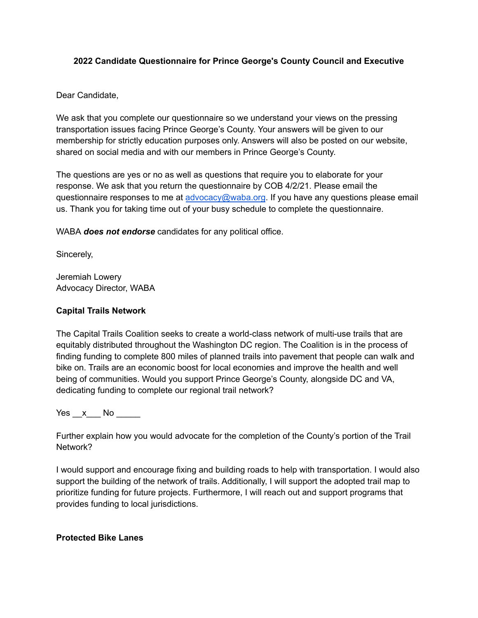#### **2022 Candidate Questionnaire for Prince George's County Council and Executive**

Dear Candidate,

We ask that you complete our questionnaire so we understand your views on the pressing transportation issues facing Prince George's County. Your answers will be given to our membership for strictly education purposes only. Answers will also be posted on our website, shared on social media and with our members in Prince George's County.

The questions are yes or no as well as questions that require you to elaborate for your response. We ask that you return the questionnaire by COB 4/2/21. Please email the questionnaire responses to me at [advocacy@waba.org](mailto:advocacy@waba.org). If you have any questions please email us. Thank you for taking time out of your busy schedule to complete the questionnaire.

WABA *does not endorse* candidates for any political office.

Sincerely,

Jeremiah Lowery Advocacy Director, WABA

#### **Capital Trails Network**

The Capital Trails Coalition seeks to create a world-class network of multi-use trails that are equitably distributed throughout the Washington DC region. The Coalition is in the process of finding funding to complete 800 miles of planned trails into pavement that people can walk and bike on. Trails are an economic boost for local economies and improve the health and well being of communities. Would you support Prince George's County, alongside DC and VA, dedicating funding to complete our regional trail network?

Yes x No  $\overline{a}$ 

Further explain how you would advocate for the completion of the County's portion of the Trail Network?

I would support and encourage fixing and building roads to help with transportation. I would also support the building of the network of trails. Additionally, I will support the adopted trail map to prioritize funding for future projects. Furthermore, I will reach out and support programs that provides funding to local jurisdictions.

#### **Protected Bike Lanes**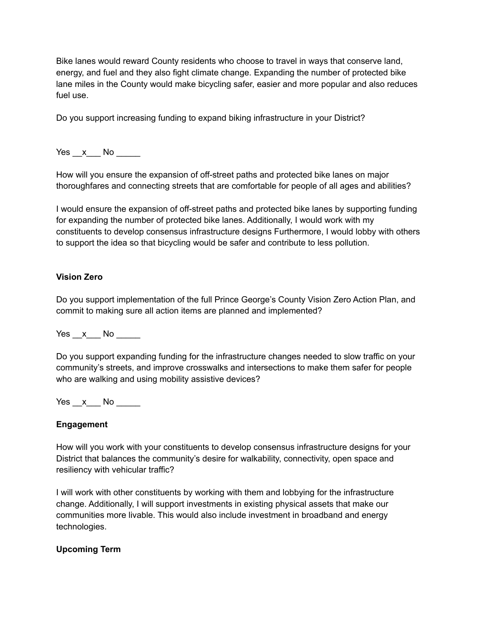Bike lanes would reward County residents who choose to travel in ways that conserve land, energy, and fuel and they also fight climate change. Expanding the number of protected bike lane miles in the County would make bicycling safer, easier and more popular and also reduces fuel use.

Do you support increasing funding to expand biking infrastructure in your District?

Yes x No  $\blacksquare$ 

How will you ensure the expansion of off-street paths and protected bike lanes on major thoroughfares and connecting streets that are comfortable for people of all ages and abilities?

I would ensure the expansion of off-street paths and protected bike lanes by supporting funding for expanding the number of protected bike lanes. Additionally, I would work with my constituents to develop consensus infrastructure designs Furthermore, I would lobby with others to support the idea so that bicycling would be safer and contribute to less pollution.

## **Vision Zero**

Do you support implementation of the full Prince George's County Vision Zero Action Plan, and commit to making sure all action items are planned and implemented?

Yes x No  $\blacksquare$ 

Do you support expanding funding for the infrastructure changes needed to slow traffic on your community's streets, and improve crosswalks and intersections to make them safer for people who are walking and using mobility assistive devices?

 $Yes \_\ x$  No  $\_\_\_\_\$ 

## **Engagement**

How will you work with your constituents to develop consensus infrastructure designs for your District that balances the community's desire for walkability, connectivity, open space and resiliency with vehicular traffic?

I will work with other constituents by working with them and lobbying for the infrastructure change. Additionally, I will support investments in existing physical assets that make our communities more livable. This would also include investment in broadband and energy technologies.

## **Upcoming Term**